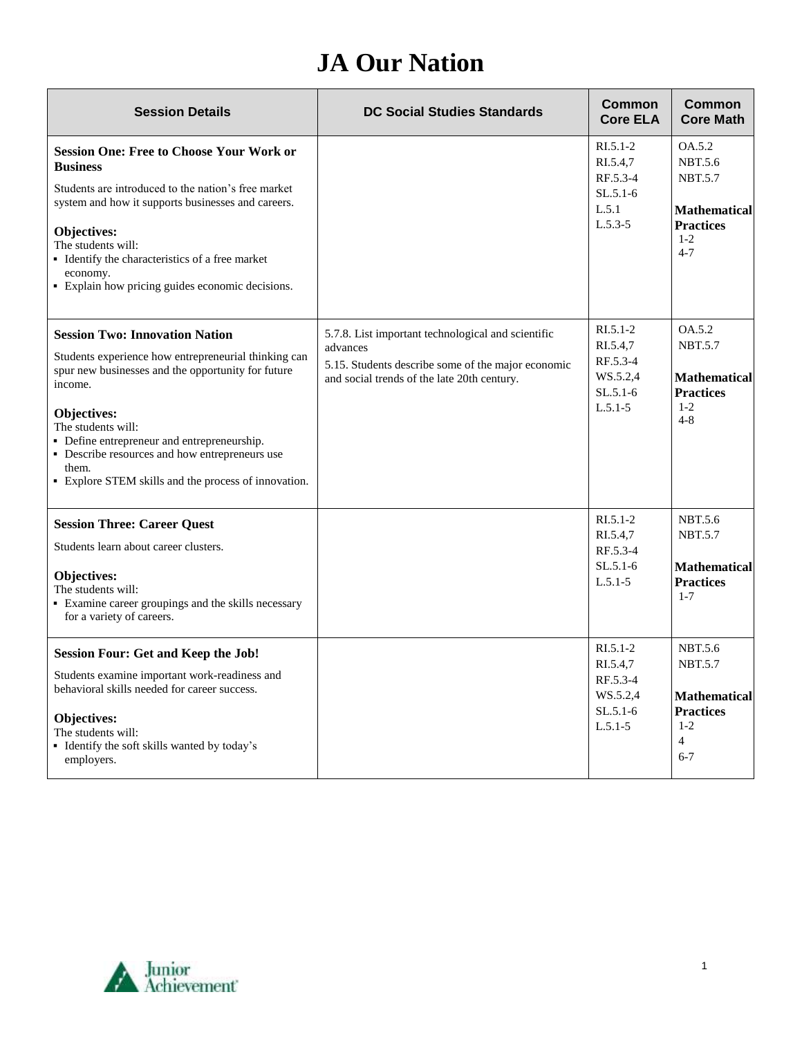## **JA Our Nation**

| <b>Session Details</b>                                                                                                                                                                                                                                                                                                                                                | <b>DC Social Studies Standards</b>                                                                                                                                  | <b>Common</b><br><b>Core ELA</b>                                            | Common<br><b>Core Math</b>                                                                                          |
|-----------------------------------------------------------------------------------------------------------------------------------------------------------------------------------------------------------------------------------------------------------------------------------------------------------------------------------------------------------------------|---------------------------------------------------------------------------------------------------------------------------------------------------------------------|-----------------------------------------------------------------------------|---------------------------------------------------------------------------------------------------------------------|
| <b>Session One: Free to Choose Your Work or</b><br><b>Business</b><br>Students are introduced to the nation's free market<br>system and how it supports businesses and careers.<br>Objectives:<br>The students will:<br>• Identify the characteristics of a free market<br>economy.<br>• Explain how pricing guides economic decisions.                               |                                                                                                                                                                     | RI.5.1-2<br>RI.5.4,7<br>RF.5.3-4<br>$SL.5.1-6$<br>L.5.1<br>$L.5.3 - 5$      | OA.5.2<br><b>NBT.5.6</b><br><b>NBT.5.7</b><br><b>Mathematical</b><br><b>Practices</b><br>$1-2$<br>$4 - 7$           |
| <b>Session Two: Innovation Nation</b><br>Students experience how entrepreneurial thinking can<br>spur new businesses and the opportunity for future<br>income.<br>Objectives:<br>The students will:<br>• Define entrepreneur and entrepreneurship.<br>• Describe resources and how entrepreneurs use<br>them.<br>• Explore STEM skills and the process of innovation. | 5.7.8. List important technological and scientific<br>advances<br>5.15. Students describe some of the major economic<br>and social trends of the late 20th century. | $RI.5.1-2$<br>RI.5.4,7<br>RF.5.3-4<br>WS.5.2,4<br>$SL.5.1-6$<br>$L.5.1 - 5$ | OA.5.2<br><b>NBT.5.7</b><br><b>Mathematical</b><br><b>Practices</b><br>$1 - 2$<br>$4 - 8$                           |
| <b>Session Three: Career Quest</b><br>Students learn about career clusters.<br>Objectives:<br>The students will:<br>• Examine career groupings and the skills necessary<br>for a variety of careers.                                                                                                                                                                  |                                                                                                                                                                     | RI.5.1-2<br>RI.5.4,7<br>RF.5.3-4<br>$SL.5.1-6$<br>$L.5.1 - 5$               | <b>NBT.5.6</b><br><b>NBT.5.7</b><br><b>Mathematical</b><br><b>Practices</b><br>$1 - 7$                              |
| <b>Session Four: Get and Keep the Job!</b><br>Students examine important work-readiness and<br>behavioral skills needed for career success.<br>Objectives:<br>The students will:<br>• Identify the soft skills wanted by today's<br>employers.                                                                                                                        |                                                                                                                                                                     | $RI.5.1-2$<br>RI.5.4,7<br>RF.5.3-4<br>WS.5.2,4<br>$SL.5.1-6$<br>$L.5.1-5$   | <b>NBT.5.6</b><br><b>NBT.5.7</b><br><b>Mathematical</b><br><b>Practices</b><br>$1 - 2$<br>$\overline{4}$<br>$6 - 7$ |